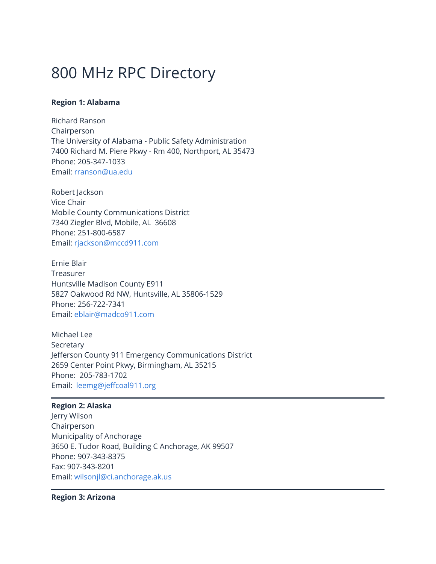# 800 MHz RPC Directory

# **Region 1: Alabama**

Richard Ranson Chairperson The University of Alabama - Public Safety Administration 7400 Richard M. Piere Pkwy - Rm 400, Northport, AL 35473 Phone: 205-347-1033 Email: [rranson@ua.edu](https://www.fcc.gov/rranson%40ua.edu)

Robert Jackson Vice Chair Mobile County Communications District 7340 Ziegler Blvd, Mobile, AL 36608 Phone: 251-800-6587 Email: [rjackson@mccd911.com](https://www.fcc.gov/rjackson%40mccd911.com)

Ernie Blair Treasurer Huntsville Madison County E911 5827 Oakwood Rd NW, Huntsville, AL 35806-1529 Phone: 256-722-7341 Email: [eblair@madco911.com](mailto:eblair@madco911.com)

Michael Lee Secretary Jefferson County 911 Emergency Communications District 2659 Center Point Pkwy, Birmingham, AL 35215 Phone: 205-783-1702 Email: [leemg@jeffcoal911.org](https://www.fcc.gov/leemg%40jeffcoal911.org)

# **Region 2: Alaska**

Jerry Wilson Chairperson Municipality of Anchorage 3650 E. Tudor Road, Building C Anchorage, AK 99507 Phone: 907-343-8375 Fax: 907-343-8201 Email: [wilsonjl@ci.anchorage.ak.us](mailto:wilsonjl@ci.anchorage.ak.us)

**Region 3: Arizona**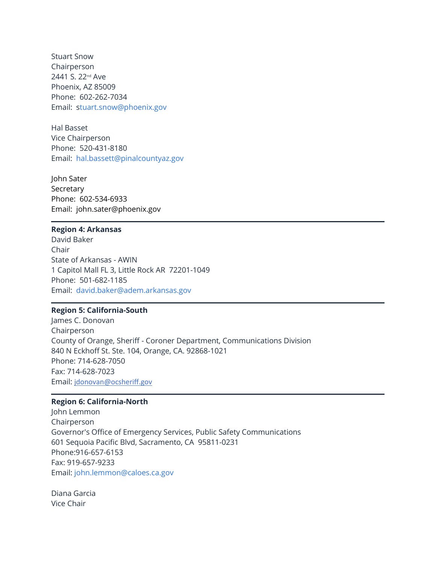Stuart Snow Chairperson 2441 S. 22nd Ave Phoenix, AZ 85009 Phone: 602-262-7034 Email: [stuart.snow@phoenix.gov](mailto:Stuart.snow@phoenix.gov)

Hal Basset Vice Chairperson Phone: 520-431-8180 Email: [hal.bassett@pinalcountyaz.gov](https://www.fcc.gov/hal.bassett%40pinalcountyaz.gov)

John Sater Secretary Phone: 602-534-6933 Email: john.sater@phoenix.gov

#### **Region 4: Arkansas**

David Baker Chair State of Arkansas - AWIN 1 Capitol Mall FL 3, Little Rock AR 72201-1049 Phone: 501-682-1185 Email: [david.baker@adem.arkansas.gov](https://www.fcc.gov/david.baker%40adem.arkansas.gov)

## **Region 5: California-South**

James C. Donovan Chairperson County of Orange, Sheriff - Coroner Department, Communications Division 840 N Eckhoff St. Ste. 104, Orange, CA. 92868-1021 Phone: 714-628-7050 Fax: 714-628-7023 Email: [jdonovan@ocsheriff.gov](mailto:jdonovan@ocsheriff.gov)

## **Region 6: California-North**

John Lemmon Chairperson Governor's Office of Emergency Services, Public Safety Communications 601 Sequoia Pacific Blvd, Sacramento, CA 95811-0231 Phone:916-657-6153 Fax: 919-657-9233 Email: [john.lemmon@caloes.ca.gov](https://www.fcc.gov/john.lemmon%40caloes.ca.gov)

Diana Garcia Vice Chair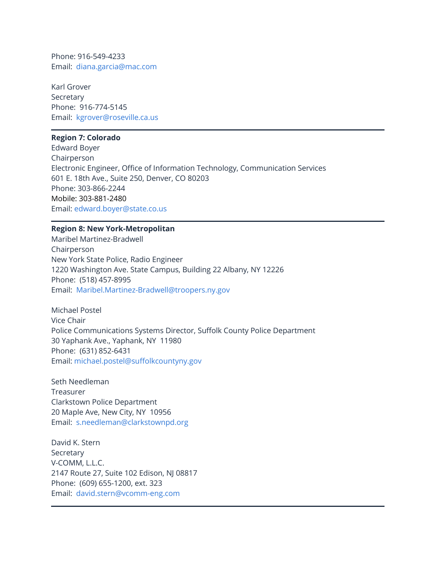Phone: 916-549-4233 Email: [diana.garcia@mac.com](https://www.fcc.gov/diana.garcia%40mac.com)

Karl Grover Secretary Phone: 916-774-5145 Email: [kgrover@roseville.ca.us](https://www.fcc.gov/kgrover%40roseville.ca.us)

#### **Region 7: Colorado**

Edward Boyer Chairperson Electronic Engineer, Office of Information Technology, Communication Services 601 E. 18th Ave., Suite 250, Denver, CO 80203 Phone: 303-866-2244 Mobile: 303-881-2480 Email: [edward.boyer@state.co.us](mailto:edward.boyer@state.co.us)

# **Region 8: New York-Metropolitan**

Maribel Martinez-Bradwell Chairperson New York State Police, Radio Engineer 1220 Washington Ave. State Campus, Building 22 Albany, NY 12226 Phone: (518) 457-8995 Email: [Maribel.Martinez-Bradwell@troopers.ny.gov](mailto:Maribel.Martinez-Bradwell@troopers.ny.gov)

Michael Postel Vice Chair Police Communications Systems Director, Suffolk County Police Department 30 Yaphank Ave., Yaphank, NY 11980 Phone: (631) 852-6431 Email: [michael.postel@suffolkcountyny.gov](https://www.fcc.gov/michael.postel%40suffolkcountyny.gov)

Seth Needleman Treasurer Clarkstown Police Department 20 Maple Ave, New City, NY 10956 Email: [s.needleman@clarkstownpd.org](https://www.fcc.gov/s.needleman%40clarkstownpd.org)

David K. Stern **Secretary** V-COMM, L.L.C. 2147 Route 27, Suite 102 Edison, NJ 08817 Phone: (609) 655-1200, ext. 323 Email: [david.stern@vcomm-eng.com](mailto:david.stern@vcomm-eng.com)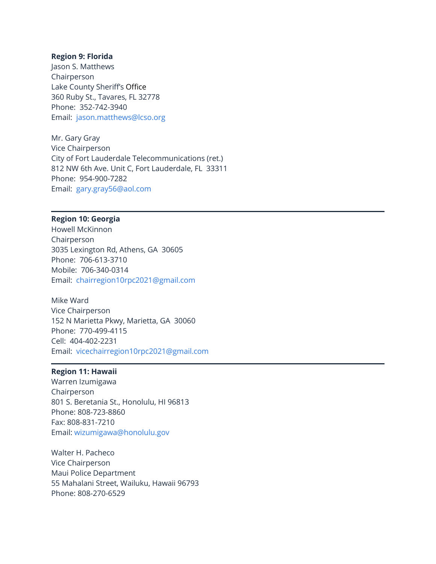#### **Region 9: Florida**

Jason S. Matthews Chairperson Lake County Sheriff's Office 360 Ruby St., Tavares, FL 32778 Phone: 352-742-3940 Email: [jason.matthews@lcso.org](mailto:jason.matthews@lcso.org)

Mr. Gary Gray Vice Chairperson City of Fort Lauderdale Telecommunications (ret.) 812 NW 6th Ave. Unit C, Fort Lauderdale, FL 33311 Phone: 954-900-7282 Email: [gary.gray56@aol.com](https://www.fcc.gov/gary.gray56%40aol.com)

# **Region 10: Georgia**

Howell McKinnon Chairperson 3035 Lexington Rd, Athens, GA 30605 Phone: 706-613-3710 Mobile: 706-340-0314 Email: [chairregion10rpc2021@gmail.com](https://www.fcc.gov/chairregion10rpc2021%40gmail.com)

Mike Ward Vice Chairperson 152 N Marietta Pkwy, Marietta, GA 30060 Phone: 770-499-4115 Cell: 404-402-2231 Email: [vicechairregion10rpc2021@gmail.com](https://www.fcc.gov/vicechairregion10rpc2021%40gmail.com)

## **Region 11: Hawaii**

Warren Izumigawa Chairperson 801 S. Beretania St., Honolulu, HI 96813 Phone: 808-723-8860 Fax: 808-831-7210 Email: [wizumigawa@honolulu.gov](mailto:wizumigawa@honolulu.gov)

Walter H. Pacheco Vice Chairperson Maui Police Department 55 Mahalani Street, Wailuku, Hawaii 96793 Phone: 808-270-6529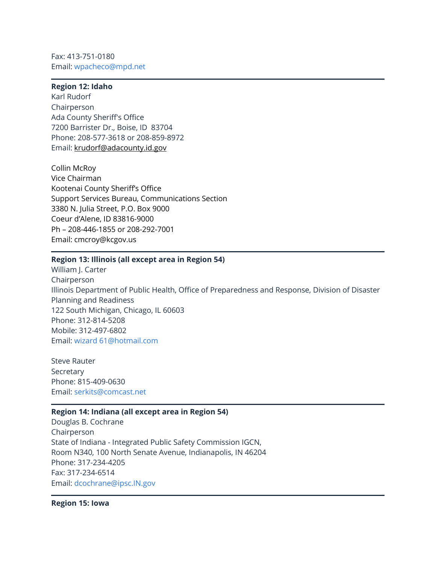Fax: 413-751-0180 Email: [wpacheco@mpd.net](mailto:wpacheco@mpd.net)

# **Region 12: Idaho**

Karl Rudorf Chairperson Ada County Sheriff's Office 7200 Barrister Dr., Boise, ID 83704 Phone: 208-577-3618 or 208-859-8972 Email: [krudorf@adacounty.id.gov](mailto:krudorf@adacounty.id.gov)

Collin McRoy Vice Chairman Kootenai County Sheriff's Office Support Services Bureau, Communications Section 3380 N. Julia Street, P.O. Box 9000 Coeur d'Alene, ID 83816-9000 Ph – 208-446-1855 or 208-292-7001 Email: cmcroy@kcgov.us

#### **Region 13: Illinois (all except area in Region 54)**

William J. Carter Chairperson Illinois Department of Public Health, Office of Preparedness and Response, Division of Disaster Planning and Readiness 122 South Michigan, Chicago, IL 60603 Phone: 312-814-5208 Mobile: 312-497-6802 Email: [wizard 61@hotmail.com](https://www.fcc.gov/wizard%2061%40hotmail.com)

Steve Rauter Secretary Phone: 815-409-0630 Email: [serkits@comcast.net](https://www.fcc.gov/serkits%40comcast.net)

#### **Region 14: Indiana (all except area in Region 54)**

Douglas B. Cochrane Chairperson State of Indiana - Integrated Public Safety Commission IGCN, Room N340, 100 North Senate Avenue, Indianapolis, IN 46204 Phone: 317-234-4205 Fax: 317-234-6514 Email: [dcochrane@ipsc.IN.gov](mailto:dcochrane@ipsc.IN.gov)

**Region 15: Iowa**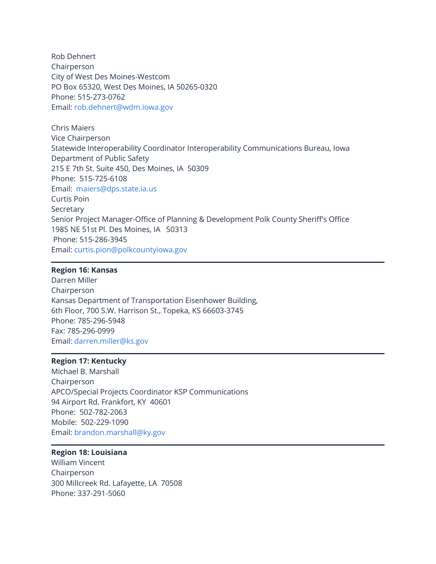Rob Dehnert Chairperson City of West Des Moines-Westcom PO Box 65320, West Des Moines, IA 50265-0320 Phone: 515-273-0762 Email: [rob.dehnert@wdm.iowa.gov](mailto:rob.dehnert@wdm.iowa.gov)

Chris Maiers Vice Chairperson Statewide Interoperability Coordinator Interoperability Communications Bureau, Iowa Department of Public Safety 215 E 7th St. Suite 450, Des Moines, IA 50309 Phone: 515-725-6108 Email: [maiers@dps.state.ia.us](https://www.fcc.gov/maiers%40dps.state.ia.us) Curtis Poin Secretary Senior Project Manager-Office of Planning & Development Polk County Sheriff's Office 1985 NE 51st Pl. Des Moines, IA 50313 Phone: 515-286-3945 Email: [curtis.pion@polkcountyiowa.gov](https://www.fcc.gov/curtis.pion%40polkcountyiowa.gov)

# **Region 16: Kansas**

Darren Miller Chairperson Kansas Department of Transportation Eisenhower Building, 6th Floor, 700 S.W. Harrison St., Topeka, KS 66603-3745 Phone: 785-296-5948 Fax: 785-296-0999 Email: [darren.miller@ks.gov](https://www.fcc.gov/darren.miller%40ks.gov)

## **Region 17: Kentucky**

Michael B. Marshall Chairperson APCO/Special Projects Coordinator KSP Communications 94 Airport Rd. Frankfort, KY 40601 Phone: 502-782-2063 Mobile: 502-229-1090 Email: [brandon.marshall@ky.gov](https://www.fcc.gov/brandon.marshall%40ky.gov)

# **Region 18: Louisiana**

William Vincent Chairperson 300 Millcreek Rd. Lafayette, LA 70508 Phone: 337-291-5060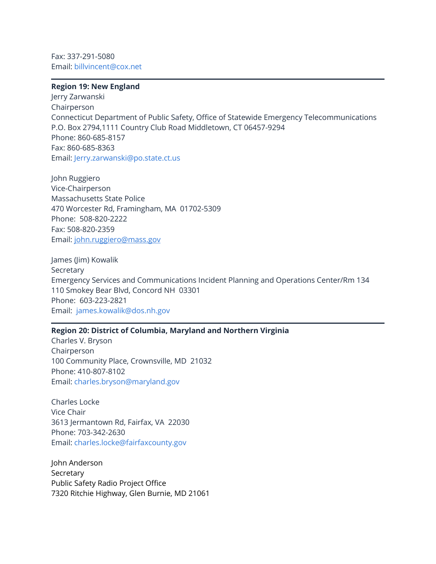Fax: 337-291-5080 Email: [billvincent@cox.net](mailto:VincentB@apco911.org)

#### **Region 19: New England**

Jerry Zarwanski Chairperson Connecticut Department of Public Safety, Office of Statewide Emergency Telecommunications P.O. Box 2794,1111 Country Club Road Middletown, CT 06457-9294 Phone: 860-685-8157 Fax: 860-685-8363 Email: [Jerry.zarwanski@po.state.ct.us](mailto:Jerry.zarwanski@po.state.ct.us)

John Ruggiero Vice-Chairperson Massachusetts State Police 470 Worcester Rd, Framingham, MA 01702-5309 Phone: 508-820-2222 Fax: 508-820-2359 Email: [john.ruggiero@mass.gov](https://www.fcc.gov/john.ruggiero%40mass.gov)

James (Jim) Kowalik Secretary Emergency Services and Communications Incident Planning and Operations Center/Rm 134 110 Smokey Bear Blvd, Concord NH 03301 Phone: 603-223-2821 Email: [james.kowalik@dos.nh.gov](https://www.fcc.gov/james.kowalik%40dos.nh.gov)

# **Region 20: District of Columbia, Maryland and Northern Virginia**

Charles V. Bryson Chairperson 100 Community Place, Crownsville, MD 21032 Phone: 410-807-8102 Email: [charles.bryson@maryland.gov](mailto:charles.bryson@maryland.gov)

Charles Locke Vice Chair 3613 Jermantown Rd, Fairfax, VA 22030 Phone: 703-342-2630 Email: [charles.locke@fairfaxcounty.gov](https://www.fcc.gov/charles.locke%40fairfaxcounty.gov)

John Anderson Secretary Public Safety Radio Project Office [7320 Ritchie Highway, Glen Burnie, MD 21061](https://www.google.com/maps/search/7320+Ritchie+Highway,+Glen+Burnie,+MD+21061?entry=gmail&source=g)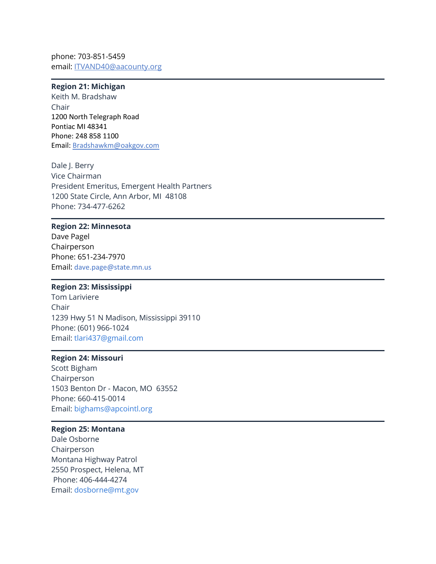phone: 703-851-5459 email: [ITVAND40@aacounty.org](https://www.fcc.gov/ITVAND40%40aacounty.org)

## **Region 21: Michigan**

Keith M. Bradshaw Chair 1200 North Telegraph Road Pontiac MI 48341 Phone: 248 858 1100 Email: [Bradshawkm@oakgov.com](mailto:Bradshawkm@oakgov.com)

Dale J. Berry Vice Chairman President Emeritus, Emergent Health Partners 1200 State Circle, Ann Arbor, MI 48108 Phone: 734-477-6262

## **Region 22: Minnesota**

Dave Pagel Chairperson Phone: 651-234-7970 Email: dave.page@state.mn.us

#### **Region 23: Mississippi**

Tom Lariviere Chair 1239 Hwy 51 N Madison, Mississippi 39110 Phone: (601) 966-1024 Email: [tlari437@gmail.com](mailto:TLariviere@MadisonTheCity.com)

#### **Region 24: Missouri**

Scott Bigham Chairperson 1503 Benton Dr - Macon, MO 63552 Phone: 660-415-0014 Email: [bighams@apcointl.org](mailto:bighams@apcointl.org)

# **Region 25: Montana**

Dale Osborne Chairperson Montana Highway Patrol 2550 Prospect, Helena, MT Phone: 406-444-4274 Email: [dosborne@mt.gov](mailto:dosborne@mt.gov)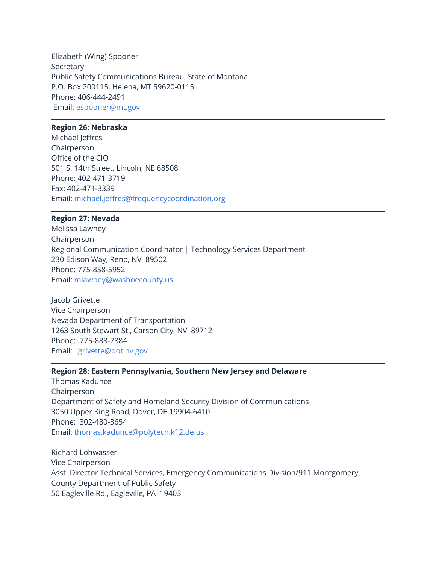Elizabeth (Wing) Spooner Secretary Public Safety Communications Bureau, State of Montana P.O. Box 200115, Helena, MT 59620-0115 Phone: 406-444-2491 Email: [espooner@mt.gov](mailto:espooner@mt.gov)

# **Region 26: Nebraska**

Michael Jeffres Chairperson Office of the CIO 501 S. 14th Street, Lincoln, NE 68508 Phone: 402-471-3719 Fax: 402-471-3339 Email: [michael.jeffres@frequencycoordination.org](https://www.fcc.gov/michael.jeffres%40frequencycoordination.org)

# **Region 27: Nevada**

Melissa Lawney Chairperson Regional Communication Coordinator | Technology Services Department 230 Edison Way, Reno, NV 89502 Phone: 775-858-5952 Email: [mlawney@washoecounty.us](https://www.fcc.gov/mlawney%40washoecounty.us)

Jacob Grivette Vice Chairperson Nevada Department of Transportation 1263 South Stewart St., Carson City, NV 89712 Phone: 775-888-7884 Email: [jgrivette@dot.nv.gov](https://www.fcc.gov/jgrivette%40dot.nv.gov)

## **Region 28: Eastern Pennsylvania, Southern New Jersey and Delaware**

Thomas Kadunce Chairperson Department of Safety and Homeland Security Division of Communications 3050 Upper King Road, Dover, DE 19904-6410 Phone: 302-480-3654 Email: [thomas.kadunce@polytech.k12.de.us](https://www.fcc.gov/thomas.kadunce%40polytech.k12.de.us)

Richard Lohwasser Vice Chairperson Asst. Director Technical Services, Emergency Communications Division/911 Montgomery County Department of Public Safety 50 Eagleville Rd., Eagleville, PA 19403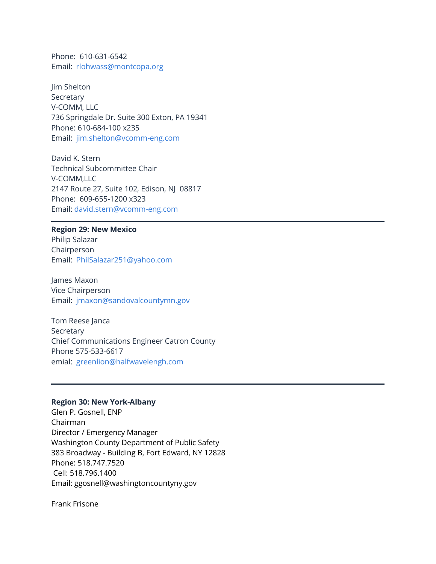Phone: 610-631-6542 Email: [rlohwass@montcopa.org](https://www.fcc.gov/rlohwass%40montcopa.org)

Jim Shelton Secretary V-COMM, LLC 736 Springdale Dr. Suite 300 Exton, PA 19341 Phone: 610-684-100 x235 Email: [jim.shelton@vcomm-eng.com](https://www.fcc.gov/jim.shelton%40vcomm-eng.com)

David K. Stern Technical Subcommittee Chair V-COMM,LLC 2147 Route 27, Suite 102, Edison, NJ 08817 Phone: 609-655-1200 x323 Email: [david.stern@vcomm-eng.com](https://www.fcc.gov/david.stern%40vcomm-eng.com)

#### **Region 29: New Mexico**

Philip Salazar Chairperson Email: [PhilSalazar251@yahoo.com](https://drive.google.com/folderview?id=0B99CD3p5fBpBWTI3Sk85Y2JCTzQ&usp=sharing)

James Maxon Vice Chairperson Email: [jmaxon@sandovalcountymn.gov](https://www.fcc.gov/jmaxon%40sandovalcountymn.gov)

Tom Reese Janca Secretary Chief Communications Engineer Catron County Phone 575-533-6617 emial: [greenlion@halfwavelengh.com](https://www.fcc.gov/greenlion%40halfwavelengh.com)

#### **Region 30: New York-Albany**

Glen P. Gosnell, ENP Chairman Director / Emergency Manager Washington County Department of Public Safety 383 Broadway - Building B, Fort Edward, NY 12828 Phone: 518.747.7520 Cell: 518.796.1400 Email: ggosnell@washingtoncountyny.gov

Frank Frisone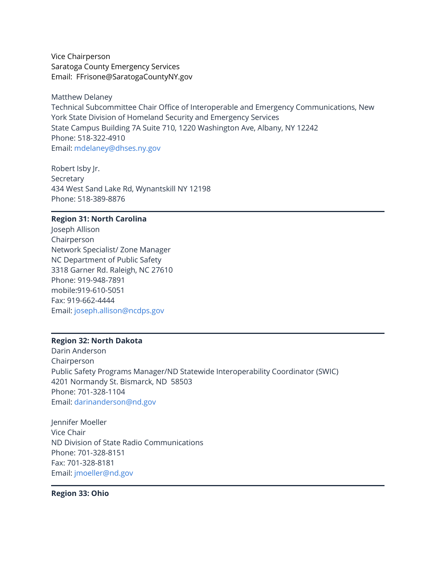Vice Chairperson Saratoga County Emergency Services Email: FFrisone@SaratogaCountyNY.gov

Matthew Delaney Technical Subcommittee Chair Office of Interoperable and Emergency Communications, New York State Division of Homeland Security and Emergency Services State Campus Building 7A Suite 710, 1220 Washington Ave, Albany, NY 12242 Phone: 518-322-4910 Email: [mdelaney@dhses.ny.gov](mailto:MDelaney@DHSES.ny.gov)

Robert Isby Jr. Secretary 434 West Sand Lake Rd, Wynantskill NY 12198 Phone: 518-389-8876

## **Region 31: North Carolina**

Joseph Allison Chairperson Network Specialist/ Zone Manager NC Department of Public Safety 3318 Garner Rd. Raleigh, NC 27610 Phone: 919-948-7891 mobile:919-610-5051 Fax: 919-662-4444 Email: [joseph.allison@ncdps.gov](https://www.fcc.gov/joseph.allison%40ncdps.gov)

# **Region 32: North Dakota**

Darin Anderson Chairperson Public Safety Programs Manager/ND Statewide Interoperability Coordinator (SWIC) 4201 Normandy St. Bismarck, ND 58503 Phone: 701-328-1104 Email: [darinanderson@nd.gov](https://www.fcc.gov/darinanderson%40nd.gov)

Jennifer Moeller Vice Chair ND Division of State Radio Communications Phone: 701-328-8151 Fax: 701-328-8181 Email: [jmoeller@nd.gov](https://www.fcc.gov/jmoeller%40nd.gov)

**Region 33: Ohio**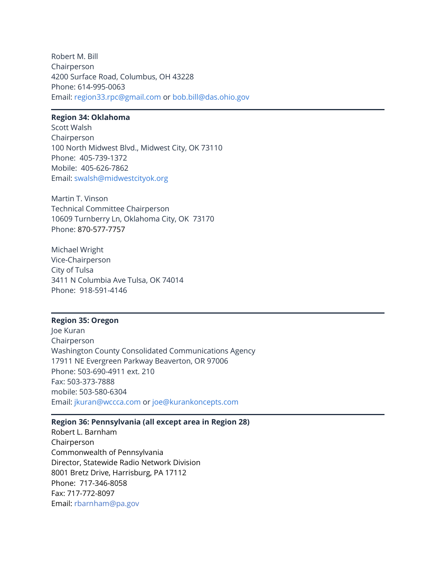Robert M. Bill Chairperson 4200 Surface Road, Columbus, OH 43228 Phone: 614-995-0063 Email: [region33.rpc@gmail.com](mailto:region33.rpc@gmail.com) or [bob.bill@das.ohio.gov](mailto:bob.bill@das.ohio.gov)

# **Region 34: Oklahoma**

Scott Walsh Chairperson 100 North Midwest Blvd., Midwest City, OK 73110 Phone: 405-739-1372 Mobile: 405-626-7862 Email: [swalsh@midwestcityok.org](mailto:swalsh@midwestcityok.org)

Martin T. Vinson Technical Committee Chairperson 10609 Turnberry Ln, Oklahoma City, OK 73170 Phone: 870-577-7757

Michael Wright Vice-Chairperson City of Tulsa 3411 N Columbia Ave Tulsa, OK 74014 Phone: 918-591-4146

#### **Region 35: Oregon**

Joe Kuran Chairperson Washington County Consolidated Communications Agency 17911 NE Evergreen Parkway Beaverton, OR 97006 Phone: 503-690-4911 ext. 210 Fax: 503-373-7888 mobile: 503-580-6304 Email: [jkuran@wccca.com](mailto:jkuran@wccca.com) or [joe@kurankoncepts.com](mailto:joe@kurankoncepts.com)

#### **Region 36: Pennsylvania (all except area in Region 28)**

Robert L. Barnham Chairperson Commonwealth of Pennsylvania Director, Statewide Radio Network Division 8001 Bretz Drive, Harrisburg, PA 17112 Phone: 717-346-8058 Fax: 717-772-8097 Email: [rbarnham@pa.gov](https://www.fcc.gov/rbarnham%40pa.gov)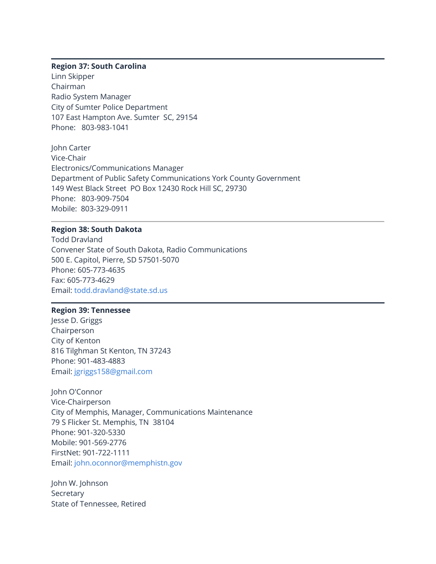#### **Region 37: South Carolina**

Linn Skipper Chairman Radio System Manager City of Sumter Police Department 107 East Hampton Ave. Sumter SC, 29154 Phone: 803-983-1041

John Carter Vice-Chair Electronics/Communications Manager Department of Public Safety Communications York County Government 149 West Black Street PO Box 12430 Rock Hill SC, 29730 Phone: 803-909-7504 Mobile: 803-329-0911

#### **Region 38: South Dakota**

Todd Dravland Convener State of South Dakota, Radio Communications 500 E. Capitol, Pierre, SD 57501-5070 Phone: 605-773-4635 Fax: 605-773-4629 Email: [todd.dravland@state.sd.us](mailto:todd.dravland@state.sd.us)

## **Region 39: Tennessee**

Jesse D. Griggs Chairperson City of Kenton 816 Tilghman St Kenton, TN 37243 Phone: 901-483-4883 Email: [jgriggs158@gmail.com](https://www.fcc.gov/jgriggs158%40gmail.com)

John O'Connor Vice-Chairperson City of Memphis, Manager, Communications Maintenance 79 S Flicker St. Memphis, TN 38104 Phone: 901-320-5330 Mobile: 901-569-2776 FirstNet: 901-722-1111 Email: [john.oconnor@memphistn.gov](mailto:John.OConnor@memphistn.gov)

John W. Johnson Secretary State of Tennessee, Retired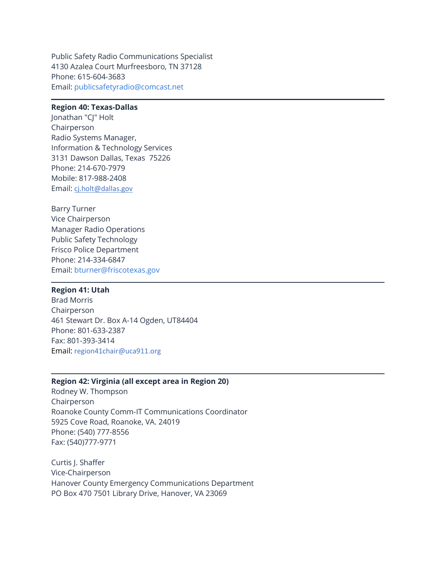Public Safety Radio Communications Specialist 4130 Azalea Court Murfreesboro, TN 37128 Phone: 615-604-3683 Email: [publicsafetyradio@comcast.net](mailto:PublicSafetyRadio@mail.com)

## **Region 40: Texas-Dallas**

Jonathan "CJ" Holt Chairperson Radio Systems Manager, Information & Technology Services 3131 Dawson Dallas, Texas 75226 Phone: 214-670-7979 Mobile: 817-988-2408 Email: [cj.holt@dallas.gov](mailto:cj.holt@dallas.gov)

Barry Turner Vice Chairperson Manager Radio Operations Public Safety Technology Frisco Police Department Phone: 214-334-6847 Email: [bturner@friscotexas.gov](https://www.fcc.gov/bturner%40friscotexas.gov)

# **Region 41: Utah**

Brad Morris Chairperson 461 Stewart Dr. Box A-14 Ogden, UT84404 Phone: 801-633-2387 Fax: 801-393-3414 Email: region41chair@uca911.org

#### **Region 42: Virginia (all except area in Region 20)**

Rodney W. Thompson Chairperson Roanoke County Comm-IT Communications Coordinator 5925 Cove Road, Roanoke, VA. 24019 Phone: (540) 777-8556 Fax: (540)777-9771

Curtis I. Shaffer Vice-Chairperson Hanover County Emergency Communications Department PO Box 470 7501 Library Drive, Hanover, VA 23069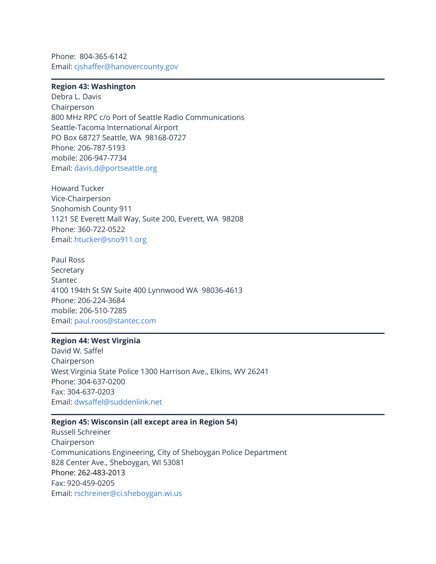Phone: 804-365-6142 Email: [cjshaffer@hanovercounty.gov](mailto:cjshaffer@hanovercounty.gov)

## **Region 43: Washington**

Debra L. Davis Chairperson 800 MHz RPC c/o Port of Seattle Radio Communications Seattle-Tacoma International Airport PO Box 68727 Seattle, WA 98168-0727 Phone: 206-787-5193 mobile: 206-947-7734 Email: [davis.d@portseattle.org](https://www.fcc.gov/davis.d%40portseattle.org)

Howard Tucker Vice-Chairperson Snohomish County 911 1121 SE Everett Mall Way, Suite 200, Everett, WA 98208 Phone: 360-722-0522 Email: [htucker@sno911.org](https://www.fcc.gov/htucker%40sno911.org)

Paul Ross Secretary Stantec 4100 194th St SW Suite 400 Lynnwood WA 98036-4613 Phone: 206-224-3684 mobile: 206-510-7285 Email: [paul.roos@stantec.com](https://www.fcc.gov/paul.roos%40stantec.com)

# **Region 44: West Virginia**

David W. Saffel Chairperson West Virginia State Police 1300 Harrison Ave., Elkins, WV 26241 Phone: 304-637-0200 Fax: 304-637-0203 Email: [dwsaffel@suddenlink.net](https://www.fcc.gov/dwsaffel%40suddenlink.net)

## **Region 45: Wisconsin (all except area in Region 54)**

Russell Schreiner Chairperson Communications Engineering, City of Sheboygan Police Department 828 Center Ave., Sheboygan, WI 53081 Phone: 262-483-2013 Fax: 920-459-0205 Email: [rschreiner@ci.sheboygan.wi.us](mailto:rschreiner@ci.sheboygan.wi.us)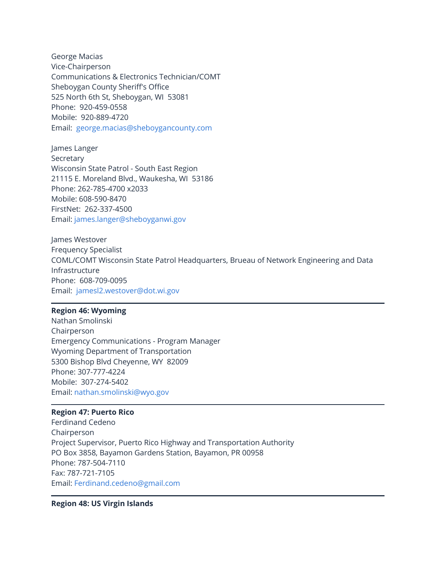George Macias Vice-Chairperson Communications & Electronics Technician/COMT Sheboygan County Sheriff's Office 525 North 6th St, Sheboygan, WI 53081 Phone: 920-459-0558 Mobile: 920-889-4720 Email: [george.macias@sheboygancounty.com](https://www.fcc.gov/george.macias%40sheboygancounty.com)

James Langer Secretary Wisconsin State Patrol - South East Region 21115 E. Moreland Blvd., Waukesha, WI 53186 Phone: 262-785-4700 x2033 Mobile: 608-590-8470 FirstNet: 262-337-4500 Email: [james.langer@sheboyganwi.gov](https://www.fcc.gov/james.langer%40sheboyganwi.gov)

James Westover Frequency Specialist COML/COMT Wisconsin State Patrol Headquarters, Brueau of Network Engineering and Data Infrastructure Phone: 608-709-0095 Email: [jamesl2.westover@dot.wi.gov](https://www.fcc.gov/jamesl2.westover%40dot.wi.gov)

#### **Region 46: Wyoming**

Nathan Smolinski Chairperson Emergency Communications - Program Manager Wyoming Department of Transportation 5300 Bishop Blvd Cheyenne, WY 82009 Phone: 307-777-4224 Mobile: 307-274-5402 Email: [nathan.smolinski@wyo.gov](https://www.fcc.gov/nathan.smolinski%40wyo.gov)

# **Region 47: Puerto Rico**

Ferdinand Cedeno Chairperson Project Supervisor, Puerto Rico Highway and Transportation Authority PO Box 3858, Bayamon Gardens Station, Bayamon, PR 00958 Phone: 787-504-7110 Fax: 787-721-7105 Email: [Ferdinand.cedeno@gmail.com](mailto:Ferdinand.cedeno@gmail.com)

## **Region 48: US Virgin Islands**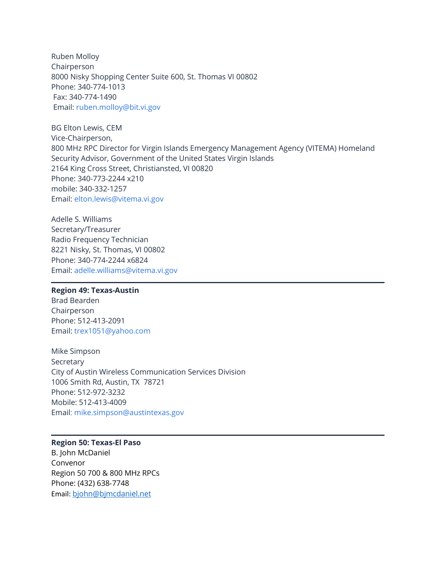Ruben Molloy Chairperson 8000 Nisky Shopping Center Suite 600, St. Thomas VI 00802 Phone: 340-774-1013 Fax: 340-774-1490 Email: [ruben.molloy@bit.vi.gov](mailto:ruben.molloy@bit.vi.gov)

BG Elton Lewis, CEM Vice-Chairperson, 800 MHz RPC Director for Virgin Islands Emergency Management Agency (VITEMA) Homeland Security Advisor, Government of the United States Virgin Islands 2164 King Cross Street, Christiansted, VI 00820 Phone: 340-773-2244 x210 mobile: 340-332-1257 Email: [elton.lewis@vitema.vi.gov](mailto:elton.lewis@vitema.vi.gov)

Adelle S. Williams Secretary/Treasurer Radio Frequency Technician 8221 Nisky, St. Thomas, VI 00802 Phone: 340-774-2244 x6824 Email: [adelle.williams@vitema.vi.gov](mailto:adelle.williams@vitema.vi.gov)

#### **Region 49: Texas-Austin**

Brad Bearden Chairperson Phone: 512-413-2091 Email: [trex1051@yahoo.com](https://www.fcc.gov/trex1051%40yahoo.com)

Mike Simpson Secretary City of Austin Wireless Communication Services Division 1006 Smith Rd, Austin, TX 78721 Phone: 512-972-3232 Mobile: 512-413-4009 Emai[l: mike.simpson@austintexas.gov](mailto:mike.simpson@austintexas.gov)

# **Region 50: Texas-El Paso**

B. John McDaniel Convenor Region 50 700 & 800 MHz RPCs Phone: (432) 638‐7748 Email: [bjohn@bjmcdaniel.net](mailto:bjohn@bjmcdaniel.net)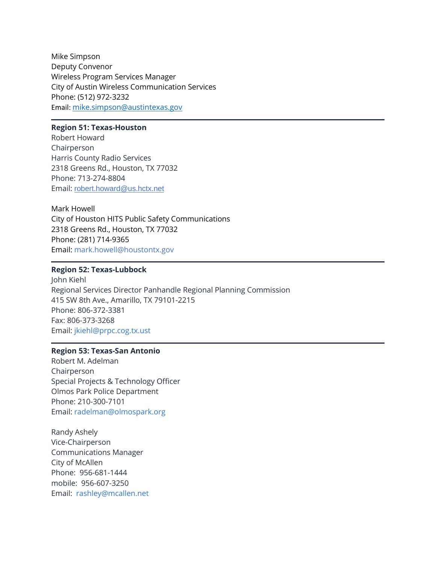Mike Simpson Deputy Convenor Wireless Program Services Manager City of Austin Wireless Communication Services Phone: (512) 972‐3232 Email: [mike.simpson@austintexas.gov](mailto:mike.simpson@austintexas.gov)

# **Region 51: Texas-Houston**

Robert Howard Chairperson Harris County Radio Services 2318 Greens Rd., Houston, TX 77032 Phone: 713-274-8804 Email: [robert.howard@us.hctx.net](mailto:robert.howard@us.hctx.net)

Mark Howell City of Houston HITS Public Safety Communications 2318 Greens Rd., Houston, TX 77032 Phone: (281) 714-9365 Email: mark.howell@houstontx.gov

# **Region 52: Texas-Lubbock**

John Kiehl Regional Services Director Panhandle Regional Planning Commission 415 SW 8th Ave., Amarillo, TX 79101-2215 Phone: 806-372-3381 Fax: 806-373-3268 Email: [jkiehl@prpc.cog.tx.ust](mailto:jkiehl@prpc.cog.tx.ust)

# **Region 53: Texas-San Antonio**

Robert M. Adelman Chairperson Special Projects & Technology Officer Olmos Park Police Department Phone: 210-300-7101 Email: [radelman@olmospark.org](mailto:radelman@olmospark.org)

Randy Ashely Vice-Chairperson Communications Manager City of McAllen Phone: 956-681-1444 mobile: 956-607-3250 Email: [rashley@mcallen.net](https://www.fcc.gov/rashley%40mcallen.net)